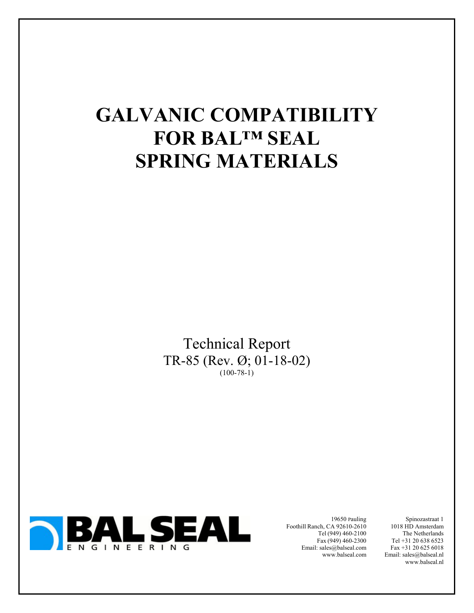## **GALVANIC COMPATIBILITY FOR BAL™ SEAL SPRING MATERIALS**

Technical Report TR-85 (Rev. Ø; 01-18-02)  $(100 - 78 - 1)$ 



19650 Pauling Foothill Ranch, CA 92610-2610 Tel (949) 460-2100 Fax (949) 460-2300 Email: sales@balseal.com www.balseal.com

Spinozastraat 1 1018 HD Amsterdam The Netherlands Tel +31 20 638 6523 Fax +31 20 625 6018 Email: sales@balseal.nl www.balseal.nl